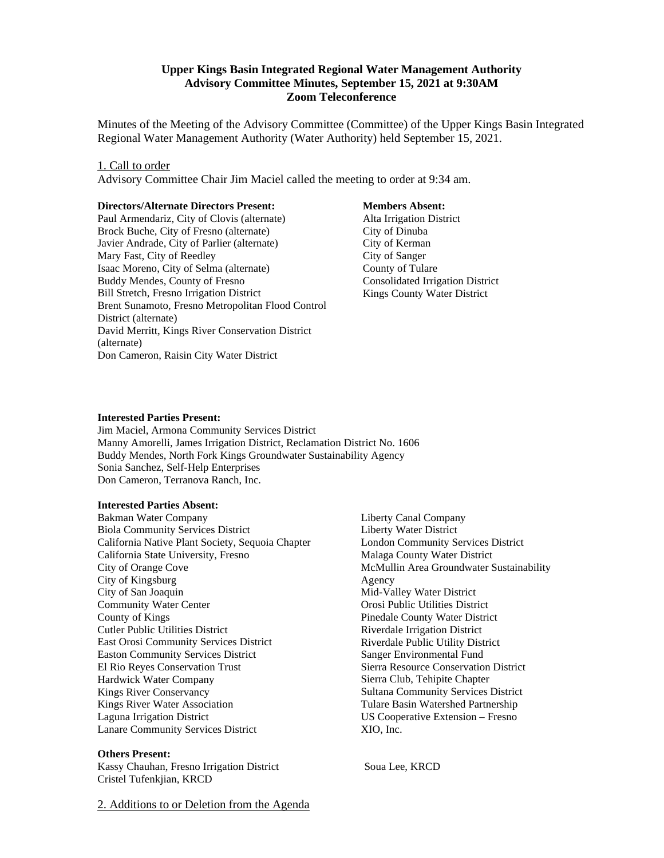### **Upper Kings Basin Integrated Regional Water Management Authority Advisory Committee Minutes, September 15, 2021 at 9:30AM Zoom Teleconference**

Minutes of the Meeting of the Advisory Committee (Committee) of the Upper Kings Basin Integrated Regional Water Management Authority (Water Authority) held September 15, 2021.

#### 1. Call to order

Advisory Committee Chair Jim Maciel called the meeting to order at 9:34 am.

#### **Directors/Alternate Directors Present:**

Paul Armendariz, City of Clovis (alternate) Brock Buche, City of Fresno (alternate) Javier Andrade, City of Parlier (alternate) Mary Fast, City of Reedley Isaac Moreno, City of Selma (alternate) Buddy Mendes, County of Fresno Bill Stretch, Fresno Irrigation District Brent Sunamoto, Fresno Metropolitan Flood Control District (alternate) David Merritt, Kings River Conservation District (alternate) Don Cameron, Raisin City Water District

#### **Members Absent:**

 Alta Irrigation District City of Dinuba City of Kerman City of Sanger County of Tulare Consolidated Irrigation District Kings County Water District

### **Interested Parties Present:**

Jim Maciel, Armona Community Services District Manny Amorelli, James Irrigation District, Reclamation District No. 1606 Buddy Mendes, North Fork Kings Groundwater Sustainability Agency Sonia Sanchez, Self-Help Enterprises Don Cameron, Terranova Ranch, Inc.

#### **Interested Parties Absent:**

Bakman Water Company Biola Community Services District California Native Plant Society, Sequoia Chapter California State University, Fresno City of Orange Cove City of Kingsburg City of San Joaquin Community Water Center County of Kings Cutler Public Utilities District East Orosi Community Services District Easton Community Services District El Rio Reyes Conservation Trust Hardwick Water Company Kings River Conservancy Kings River Water Association Laguna Irrigation District Lanare Community Services District

#### **Others Present:**

Kassy Chauhan, Fresno Irrigation District Soua Lee, KRCD Cristel Tufenkjian, KRCD

Liberty Canal Company Liberty Water District London Community Services District Malaga County Water District McMullin Area Groundwater Sustainability Agency Mid-Valley Water District Orosi Public Utilities District Pinedale County Water District Riverdale Irrigation District Riverdale Public Utility District Sanger Environmental Fund Sierra Resource Conservation District Sierra Club, Tehipite Chapter Sultana Community Services District Tulare Basin Watershed Partnership US Cooperative Extension – Fresno XIO, Inc.

2. Additions to or Deletion from the Agenda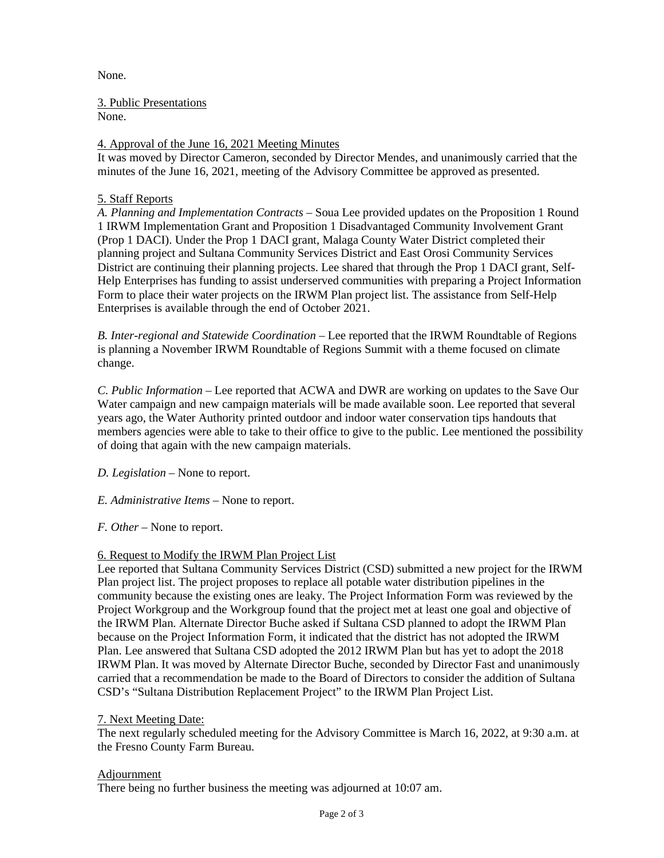None.

3. Public Presentations

None.

# 4. Approval of the June 16, 2021 Meeting Minutes

It was moved by Director Cameron, seconded by Director Mendes, and unanimously carried that the minutes of the June 16, 2021, meeting of the Advisory Committee be approved as presented.

### 5. Staff Reports

*A. Planning and Implementation Contracts* – Soua Lee provided updates on the Proposition 1 Round 1 IRWM Implementation Grant and Proposition 1 Disadvantaged Community Involvement Grant (Prop 1 DACI). Under the Prop 1 DACI grant, Malaga County Water District completed their planning project and Sultana Community Services District and East Orosi Community Services District are continuing their planning projects. Lee shared that through the Prop 1 DACI grant, Self-Help Enterprises has funding to assist underserved communities with preparing a Project Information Form to place their water projects on the IRWM Plan project list. The assistance from Self-Help Enterprises is available through the end of October 2021.

*B. Inter-regional and Statewide Coordination* – Lee reported that the IRWM Roundtable of Regions is planning a November IRWM Roundtable of Regions Summit with a theme focused on climate change.

*C. Public Information –* Lee reported that ACWA and DWR are working on updates to the Save Our Water campaign and new campaign materials will be made available soon. Lee reported that several years ago, the Water Authority printed outdoor and indoor water conservation tips handouts that members agencies were able to take to their office to give to the public. Lee mentioned the possibility of doing that again with the new campaign materials.

*D. Legislation –* None to report.

*E. Administrative Items –* None to report.

*F. Other –* None to report.

# 6. Request to Modify the IRWM Plan Project List

Lee reported that Sultana Community Services District (CSD) submitted a new project for the IRWM Plan project list. The project proposes to replace all potable water distribution pipelines in the community because the existing ones are leaky. The Project Information Form was reviewed by the Project Workgroup and the Workgroup found that the project met at least one goal and objective of the IRWM Plan. Alternate Director Buche asked if Sultana CSD planned to adopt the IRWM Plan because on the Project Information Form, it indicated that the district has not adopted the IRWM Plan. Lee answered that Sultana CSD adopted the 2012 IRWM Plan but has yet to adopt the 2018 IRWM Plan. It was moved by Alternate Director Buche, seconded by Director Fast and unanimously carried that a recommendation be made to the Board of Directors to consider the addition of Sultana CSD's "Sultana Distribution Replacement Project" to the IRWM Plan Project List.

7. Next Meeting Date:

The next regularly scheduled meeting for the Advisory Committee is March 16, 2022, at 9:30 a.m. at the Fresno County Farm Bureau.

# **Adjournment**

There being no further business the meeting was adjourned at 10:07 am.